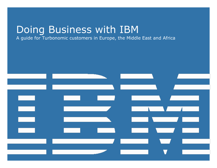# Doing Business with IBM

A guide for Turbonomic customers in Europe, the Middle East and Africa

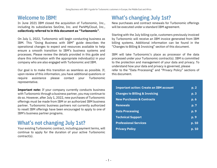#### Welcome to IBM!

In June 2021 IBM closed the acquisition of Turbonomic, Inc., including its subsidiaries SevOne, Inc. and ParkMyCloud, Inc., collectively referred to in this document as "Turbonomic".

On July 1, 2022, Turbonomic will begin conducting business as IBM. This "Doing Business with IBM" guide describes the operational changes to expect and resources available to help ensure a smooth transition to IBM's business systems and processes. Please review the details provided in this guide and share this information with the appropriate individual(s) in your company who are also engaged with Turbonomic and IBM.

Our goal is to make this transition as seamless as possible. If, upon review of this information, you have additional questions or require assistance please contact your Turbonomic representative.

**Important note:** If your company currently conducts business with Turbonomic through a business partner, you may continue to do so. However, after July 1, 2022, new purchases of Turbonomic offerings must be made from IBM or an authorized IBM business partner. Turbonomic business partners not currently authorized to resell IBM offerings have been encouraged to apply to one of IBM's business partner programs.

#### What's not changing July 1st?

Your existing Turbonomic contract, including payment terms, will continue to apply for the duration of your active Turbonomic contract(s).

### **What's changing July 1st?**

New purchases and contract renewals for Turbonomic offerings will be executed under a standard IBM agreement.

Starting with the July billing cycle, customers previously invoiced by Turbonomic will receive an IBM invoice generated from IBM billing systems. Additional information can be found in the "Changes to Billing & Invoicing" section of this document.

IBM will take Turbonomic's place as processor of the data processed under your Turbonomic contract(s). IBM is committed to the protection and management of your data and privacy. To understand how your data and privacy is governed, please refer to the "Data Processing" and "Privacy Policy" sections of this document.

| <b>Important action: Create an IBM account</b> | p.2                |
|------------------------------------------------|--------------------|
| <b>Changes to Billing &amp; Invoicing</b>      | p. 3               |
| <b>New Purchases &amp; Contracts</b>           | p.6                |
| <b>Renewals</b>                                | p. 7               |
| <b>Data Processing</b>                         | $\overline{p}$ , 9 |
| <b>Technical Support</b>                       | $\overline{p}$ . 9 |
| <b>Professional Services</b>                   | p. 10              |
| <b>Privacy Policy</b>                          | p. 10              |
|                                                |                    |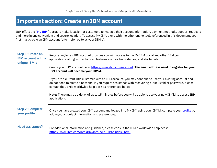#### <span id="page-2-0"></span>**Important action: Create an IBM account**

IBM offers the "[My IBM](https://myibm.ibm.com/)" portal to make it easier for customers to manage their account information, payment methods, support requests and more in one convenient and secure location. To access My IBM, along with the other online tools referenced in this document, you first must create an IBM account (often referred to as your IBMid).

| <b>Step 1: Create an</b><br><b>IBM account with a</b><br>unique IBMid | Registering for an IBM account provides you with access to the My IBM portal and other IBM.com<br>applications, along with enhanced features such as trials, demos, and starter kits.                                                                                                 |
|-----------------------------------------------------------------------|---------------------------------------------------------------------------------------------------------------------------------------------------------------------------------------------------------------------------------------------------------------------------------------|
|                                                                       | Create your IBM account here: https://www.ibm.com/account. The email address used to register for your<br>IBM account will become your IBMid.                                                                                                                                         |
|                                                                       | If you are a current IBM customer with an IBM account, you may continue to use your existing account and<br>do not need to create a new one. If you require assistance with recovering a lost IBMid or password, please<br>contact the IBMid worldwide help desk as referenced below. |
|                                                                       | <b>Note:</b> There may be a delay of up to 15 minutes before you will be able to use your new IBMid to access IBM<br>applications                                                                                                                                                     |
| <b>Step 2: Complete</b><br>your profile                               | Once you have created your IBM account and logged into My IBM using your IBMid, complete your profile by<br>adding your contact information and preferences.                                                                                                                          |
| <b>Need assistance?</b>                                               | For additional information and guidance, please consult the IBMid worldwide help desk:<br>https://www.ibm.com/ibmid/myibm/help/uk/helpdesk.html.                                                                                                                                      |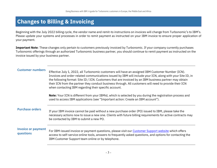## <span id="page-3-0"></span>**Changes to Billing & Invoicing**

Beginning with the July 2022 billing cycle, the vendor name and remit-to instructions on invoices will change from Turbonomic's to IBM's. Please update your systems and processes in order to remit payment as instructed on your IBM invoice to ensure proper application of your payment.

**Important Note**: These changes only pertain to customers previously invoiced by Turbonomic. If your company currently purchases Turbonomic offerings through an authorized Turbonomic business partner, you should continue to remit payment as instructed on the invoice issued by your business partner.

<span id="page-3-1"></span>**Customer numbers** Effective July 1, 2022, all Turbonomic customers will have an assigned IBM Customer Number (ICN). Invoices and order-related communications issued by IBM will include your ICN, along with your Site ID, in the following format: Site ID / ICN. Customers that are invoiced by an IBM business partner may obtain their ICN from the partner they conduct business through. All customers will need to provide their ICN when contacting IBM regarding their specific account.

> **Note:** Your ICN is different from your IBMid, which is selected by you during the registration process and used to access IBM applications (see "Important action: Create an IBM account").

**Purchase orders** If your IBM invoice cannot be paid without a new purchase order (PO) issued to IBM, please take the necessary actions now to issue a new one. Clients with future billing requirements for active contracts may be contacted by IBM to submit a new PO.

#### **Invoice or payment questions**

For IBM-issued invoice or payment questions, please visit our [Customer Support website](https://www.ibm.com/support/pages/node/6347580) which offers access to self-service online tools, answers to frequently asked questions, and options for contacting the IBM Customer Support team online or by telephone.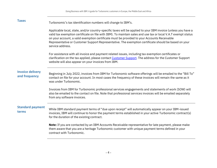| <b>Taxes</b>                             | Turbonomic's tax identification numbers will change to IBM's.                                                                                                                                                                                                                                                                                                                                                                                             |
|------------------------------------------|-----------------------------------------------------------------------------------------------------------------------------------------------------------------------------------------------------------------------------------------------------------------------------------------------------------------------------------------------------------------------------------------------------------------------------------------------------------|
|                                          | Applicable local, state, and/or country-specific taxes will be applied to your IBM invoice (unless you have a<br>valid tax exemption certificate on file with IBM). To maintain sales and use tax or local V.A.T exempt status<br>on your account, a valid exemption certificate must be provided to your Accounts Receivable<br>Representative or Customer Support Representative. The exemption certificate should be based on your<br>service address. |
|                                          | For assistance with all invoice and payment related issues, including tax exemption certificates or<br>clarification on the tax applied, please contact Customer Support. The address for the Customer Support<br>website will also appear on your invoices from IBM.                                                                                                                                                                                     |
| <b>Invoice delivery</b><br>and frequency | Beginning in July 2022, invoices from IBM for Turbonomic software offerings will be emailed to the "Bill To"<br>contact on file for your account. In most cases the frequency of these invoices will remain the same as it<br>was under Turbonomic.                                                                                                                                                                                                       |
|                                          | Invoices from IBM for Turbonomic professional services engagements and statements of work (SOW) will<br>also be emailed to the contact on file. Note that professional services invoices will be emailed separately<br>from any software invoices.                                                                                                                                                                                                        |
| <b>Standard payment</b><br>terms         | While IBM standard payment terms of "due upon receipt" will automatically appear on your IBM-issued<br>invoices, IBM will continue to honor the payment terms established in your active Turbonomic contract(s)<br>for the duration of the existing contract.                                                                                                                                                                                             |
|                                          | Note: If you are contacted by an IBM Accounts Receivable representative for late payment, please make<br>them aware that you are a heritage Turbonomic customer with unique payment terms defined in your<br>contract with Turbonomic.                                                                                                                                                                                                                    |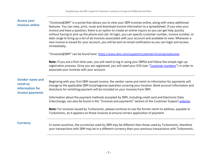| <b>Access your</b><br>invoices online                                     | "Invoices@IBM" is a portal that allows you to view your IBM invoices online, along with many additional<br>features. You can view, print, route and download invoice information to a spreadsheet. If you view your<br>invoice and have a question, there is an option to create an online inquiry so you can get help quickly<br>without having to pick up the phone and call. At login, you can specify customer number, invoice number, or<br>date range to bring up a list of all invoices associated with your account and available to view. Whenever a<br>new invoice is issued for your account, you will be sent an email notification so you can login and access<br>immediately.<br>"Invoices@IBM" can be found here: https://www.ibm.com/support/customer/invoices/welcome.<br>Note: If you are a first-time user, you will need to log in using your IBMid and follow the simple sign-up<br>registration process. Once you are registered, you will need your ICN (see "Customer numbers") in order to<br>associate your invoices with your account. |
|---------------------------------------------------------------------------|-------------------------------------------------------------------------------------------------------------------------------------------------------------------------------------------------------------------------------------------------------------------------------------------------------------------------------------------------------------------------------------------------------------------------------------------------------------------------------------------------------------------------------------------------------------------------------------------------------------------------------------------------------------------------------------------------------------------------------------------------------------------------------------------------------------------------------------------------------------------------------------------------------------------------------------------------------------------------------------------------------------------------------------------------------------------|
| <b>Vendor name and</b><br>remit-to<br>information for<br>invoice payments | Beginning with your first IBM-issued invoice, the vendor name and remit-to information for payments will<br>change to the applicable IBM local/regional operation covering your location. Bank account information and<br>directions for remitting payment will be included on your invoices from IBM.<br>Information about the payment methods accepted by IBM, including credit card and Electronic Data<br>Interchange, can also be found in the "Invoices and payments" section of the Customer Support website.<br>Note: For invoices issued by Turbonomic, please continue to use the former remit-to address, payable to<br>Turbonomic, as it appears on those invoices to ensure correct application of payment.                                                                                                                                                                                                                                                                                                                                          |
| <b>Currency</b>                                                           | In some countries, the currencies used by IBM may be different than those used by Turbonomic, therefore<br>your transactions with IBM may be in a different currency than your previous transactions with Turbonomic.                                                                                                                                                                                                                                                                                                                                                                                                                                                                                                                                                                                                                                                                                                                                                                                                                                             |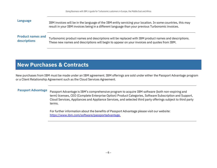| Language                 | IBM invoices will be in the language of the IBM entity servicing your location. In some countries, this may<br>result in your IBM invoices being in a different language than your previous Turbonomic invoices. |
|--------------------------|------------------------------------------------------------------------------------------------------------------------------------------------------------------------------------------------------------------|
| <b>Product names and</b> | Turbonomic product names and descriptions will be replaced with IBM product names and descriptions.                                                                                                              |
| descriptions             | These new names and descriptions will begin to appear on your invoices and quotes from IBM.                                                                                                                      |

#### <span id="page-6-0"></span>**New Purchases & Contracts**

New purchases from IBM must be made under an IBM agreement. IBM offerings are sold under either the Passport Advantage program or a Client Relationship Agreement such as the Cloud Services Agreement.

**Passport Advantage** Passport Advantage is IBM's comprehensive program to acquire IBM software (both non-expiring and term) licenses, CEO (Complete Enterprise Option) Product Categories, Software Subscription and Support, Cloud Services, Appliances and Appliance Services, and selected third party offerings subject to third party terms.

> For further information about the benefits of Passport Advantage please visit our website: [https://www.ibm.com/software/passportadvantage.](https://www.ibm.com/software/passportadvantage)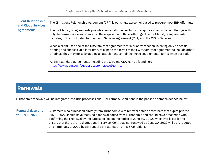#### **Client Relationship and Cloud Services Agreements** The IBM Client Relationship Agreement (CRA) is our single agreement used to procure most IBM offerings. The CRA family of agreements provide clients with the flexibility to acquire a specific set of offerings with only the terms necessary to support the acquisition of those offerings. The CRA family of agreements includes, but is not limited to, the Cloud Services Agreement (CSA) and the CRA - Services.

When a client uses one of the CRA family of agreements for a prior transaction involving only a specific offering and chooses, at a later time, to expand the terms of their CRA family of agreement to include other offerings, they may do so by adding an attachment containing those supplemental terms when desired.

All IBM standard agreements, including the CRA and CSA, can be found here: [https://www.ibm.com/support/customer/csol/terms.](https://www.ibm.com/support/customer/csol/terms)

#### <span id="page-7-0"></span>**Renewals**

Turbonomic renewals will be integrated into IBM processes and IBM Terms & Conditions in the phased approach defined below.

**Renewal date prior to July 1, 2022**

Customers who purchased directly from Turbonomic with renewal dates or contracts that expire prior to July 1, 2022 should have received a renewal notice from Turbonomic and should have proceeded with confirming their renewal by the date specified on the notice or June 30, 2022, whichever is earlier, to ensure that there are no disruptions in service. Contracts not renewed by June 30, 2022 will be re-quoted on or after July 1, 2022 by IBM under IBM standard Terms & Conditions.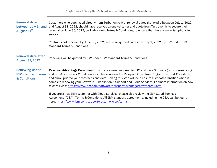| <b>Renewal date</b><br>between July 1 <sup>st</sup> and<br>August 31st | Customers who purchased directly from Turbonomic with renewal dates that expire between July 1, 2022,<br>and August 31, 2022, should have received a renewal letter and quote from Turbonomic to secure their<br>renewal by June 30, 2022, on Turbonomic Terms & Conditions, to ensure that there are no disruptions in<br>service.                                                                                                                                                                                                                                                                                         |
|------------------------------------------------------------------------|-----------------------------------------------------------------------------------------------------------------------------------------------------------------------------------------------------------------------------------------------------------------------------------------------------------------------------------------------------------------------------------------------------------------------------------------------------------------------------------------------------------------------------------------------------------------------------------------------------------------------------|
|                                                                        | Contracts not renewed by June 30, 2022, will be re-quoted on or after July 1, 2022, by IBM under IBM<br>standard Terms & Conditions.                                                                                                                                                                                                                                                                                                                                                                                                                                                                                        |
| <b>Renewal date after</b><br><b>August 31, 2022</b>                    | Renewals will be quoted by IBM under IBM standard Terms & Conditions.                                                                                                                                                                                                                                                                                                                                                                                                                                                                                                                                                       |
| <b>Renewing under</b><br><b>IBM standard Terms</b><br>& Conditions     | Passport Advantage Enrollment: If you are a new customer to IBM and have Software (both non-expiring<br>and term) licenses or Cloud Services, please review the Passport Advantage Program Terms & Conditions,<br>and enroll prior to your contract's end date. Taking this step will help ensure a smooth transition when it<br>comes to renewing your Software Subscription & Support and Cloud Services. For more information on how<br>to enroll visit: https://www.ibm.com/software/passportadvantage/howtoenroll.html<br>If you are a new IBM customer with Cloud Services, please also review the IBM Cloud Services |
|                                                                        | Agreement ("CSA") Terms & Conditions. All IBM standard agreements, including the CSA, can be found<br>here: https://www.ibm.com/support/customer/csol/terms.                                                                                                                                                                                                                                                                                                                                                                                                                                                                |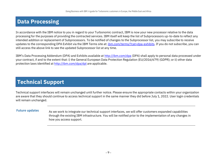# <span id="page-9-0"></span>**Data Processing**

In accordance with the IBM notice to you in regard to your Turbonomic contract, IBM is now your new processor relative to the data processing for the purposes of providing the contracted services. IBM itself will keep the list of Subprocessors up-to-date to reflect any intended addition or replacement of Subprocessors. To be notified of changes to the Subprocessor list, you may subscribe to receive updates to the corresponding DPA Exhibit via the IBM Terms site at: [ibm.com/terms/?cat=dpa-exhibits.](http://ibm.com/terms/?cat=dpa-exhibits) If you do not subscribe, you can still access the above link to see the updated Subprocessor list at any time.

IBM's Data Processing Addendum (DPA) and Exhibits available at <http://ibm.com/dpa> (DPA) shall apply to personal data processed under your contract, if and to the extent that: i) the General European Data Protection Regulation (EU/2016/679) (GDPR); or ii) other data protection laws identified at <http://ibm.com/dpa/dpl> are applicable.

### <span id="page-9-1"></span>**Technical Support**

Technical support interfaces will remain unchanged until further notice. Please ensure the appropriate contacts within your organization are aware that they should continue to access technical support in the same manner they did before July 1, 2022. User login credentials will remain unchanged.

Future updates As we work to integrate our technical support interfaces, we will offer customers expanded capabilities through the existing IBM infrastructure. You will be notified prior to the implementation of any changes in how you access support.